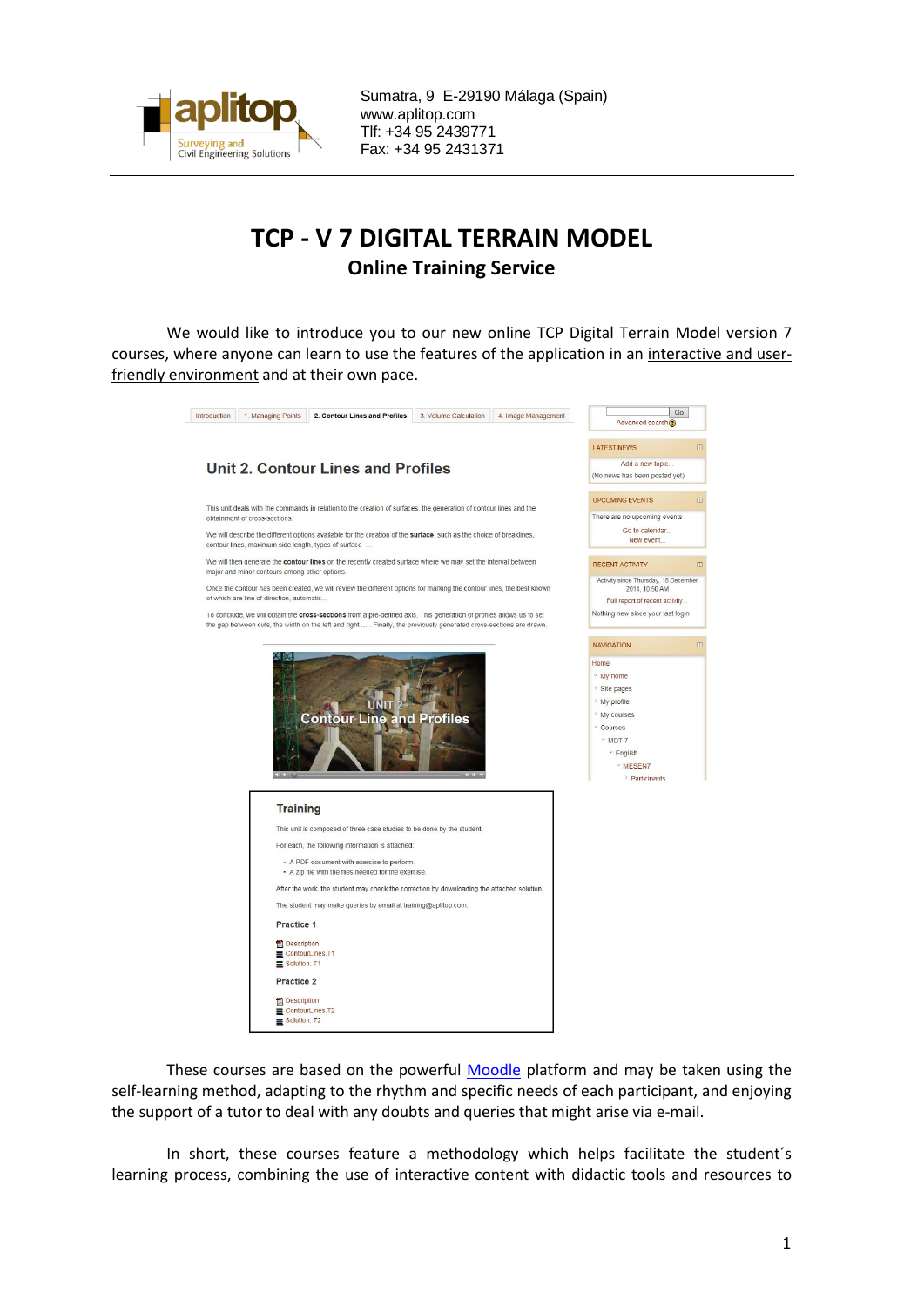

Sumatra, 9 E-29190 Málaga (Spain) www.aplitop.com Tlf: +34 95 2439771 Fax: +34 95 2431371

## **TCP - V 7 DIGITAL TERRAIN MODEL Online Training Service**

We would like to introduce you to our new online TCP Digital Terrain Model version 7 courses, where anyone can learn to use the features of the application in an interactive and userfriendly environment and at their own pace.



These courses are based on the powerful [Moodle](https://moodle.org/) platform and may be taken using the self-learning method, adapting to the rhythm and specific needs of each participant, and enjoying the support of a tutor to deal with any doubts and queries that might arise via e-mail.

In short, these courses feature a methodology which helps facilitate the student´s learning process, combining the use of interactive content with didactic tools and resources to